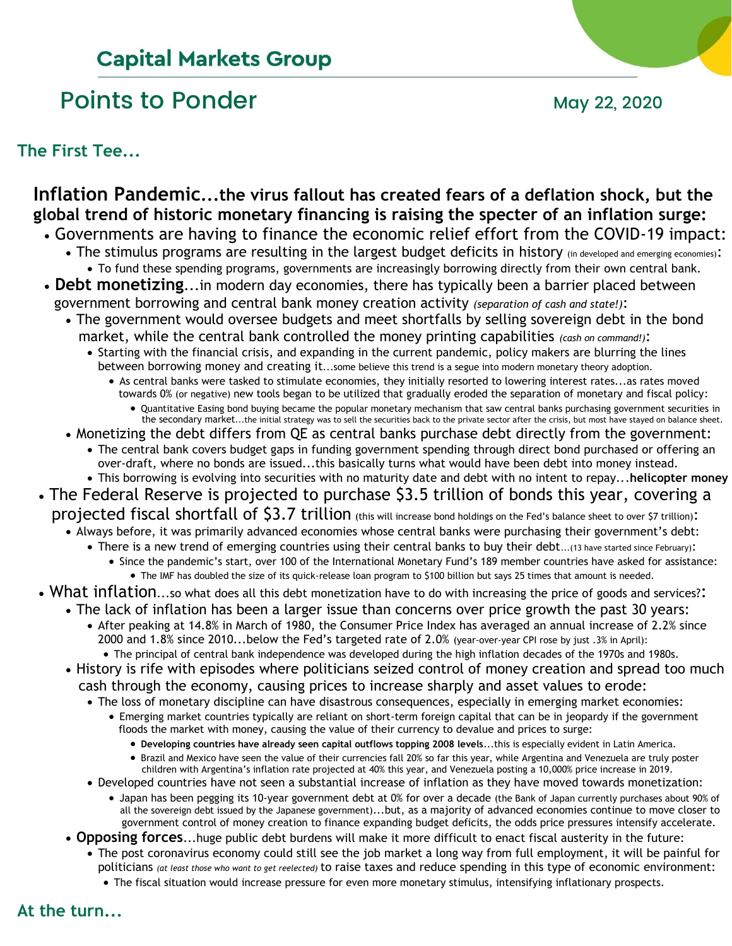# **Capital Markets Group**

# Points to Ponder May 22, 2020

#### **The First Tee...**

## **Inflation Pandemic...the virus fallout has created fears of a deflation shock, but the global trend of historic monetary financing is raising the specter of an inflation surge:**

- Governments are having to finance the economic relief effort from the COVID-19 impact:
	- The stimulus programs are resulting in the largest budget deficits in history (in developed and emerging economies): • To fund these spending programs, governments are increasingly borrowing directly from their own central bank.
- **Debt monetizing**...in modern day economies, there has typically been a barrier placed between government borrowing and central bank money creation activity *(separation of cash and state!)*:
	- The government would oversee budgets and meet shortfalls by selling sovereign debt in the bond market, while the central bank controlled the money printing capabilities *(cash on command!)*:
		- Starting with the financial crisis, and expanding in the current pandemic, policy makers are blurring the lines between borrowing money and creating it...some believe this trend is a segue into modern monetary theory adoption.
			- As central banks were tasked to stimulate economies, they initially resorted to lowering interest rates...as rates moved towards 0% (or negative) new tools began to be utilized that gradually eroded the separation of monetary and fiscal policy: • Quantitative Easing bond buying became the popular monetary mechanism that saw central banks purchasing government securities in
				- the secondary market...the initial strategy was to sell the securities back to the private sector after the crisis, but most have stayed on balance sheet.
	- Monetizing the debt differs from QE as central banks purchase debt directly from the government:
	- The central bank covers budget gaps in funding government spending through direct bond purchased or offering an over-draft, where no bonds are issued...this basically turns what would have been debt into money instead.
	- This borrowing is evolving into securities with no maturity date and debt with no intent to repay...**helicopter money**
- The Federal Reserve is projected to purchase \$3.5 trillion of bonds this year, covering a projected fiscal shortfall of \$3.7 trillion (this will increase bond holdings on the Fed's balance sheet to over \$7 trillion):
	- Always before, it was primarily advanced economies whose central banks were purchasing their government's debt:
		- There is a new trend of emerging countries using their central banks to buy their debt...(13 have started since February):
			- Since the pandemic's start, over 100 of the International Monetary Fund's 189 member countries have asked for assistance: • The IMF has doubled the size of its quick-release loan program to \$100 billion but says 25 times that amount is needed.
- What inflation...so what does all this debt monetization have to do with increasing the price of goods and services?:
	- The lack of inflation has been a larger issue than concerns over price growth the past 30 years: • After peaking at 14.8% in March of 1980, the Consumer Price Index has averaged an annual increase of 2.2% since 2000 and 1.8% since 2010...below the Fed's targeted rate of 2.0% (year-over-year CPI rose by just .3% in April):
	- The principal of central bank independence was developed during the high inflation decades of the 1970s and 1980s. • History is rife with episodes where politicians seized control of money creation and spread too much
		- cash through the economy, causing prices to increase sharply and asset values to erode:
			- The loss of monetary discipline can have disastrous consequences, especially in emerging market economies:
				- Emerging market countries typically are reliant on short-term foreign capital that can be in jeopardy if the government floods the market with money, causing the value of their currency to devalue and prices to surge:
					- **Developing countries have already seen capital outflows topping 2008 levels**...this is especially evident in Latin America.
					- Brazil and Mexico have seen the value of their currencies fall 20% so far this year, while Argentina and Venezuela are truly poster children with Argentina's inflation rate projected at 40% this year, and Venezuela posting a 10,000% price increase in 2019.
			- Developed countries have not seen a substantial increase of inflation as they have moved towards monetization:
				- Japan has been pegging its 10-year government debt at 0% for over a decade (the Bank of Japan currently purchases about 90% of all the sovereign debt issued by the Japanese government)...but, as a majority of advanced economies continue to move closer to government control of money creation to finance expanding budget deficits, the odds price pressures intensify accelerate.
	- **Opposing forces**...huge public debt burdens will make it more difficult to enact fiscal austerity in the future:
		- The post coronavirus economy could still see the job market a long way from full employment, it will be painful for politicians *(at least those who want to get reelected)* to raise taxes and reduce spending in this type of economic environment:
			- The fiscal situation would increase pressure for even more monetary stimulus, intensifying inflationary prospects.